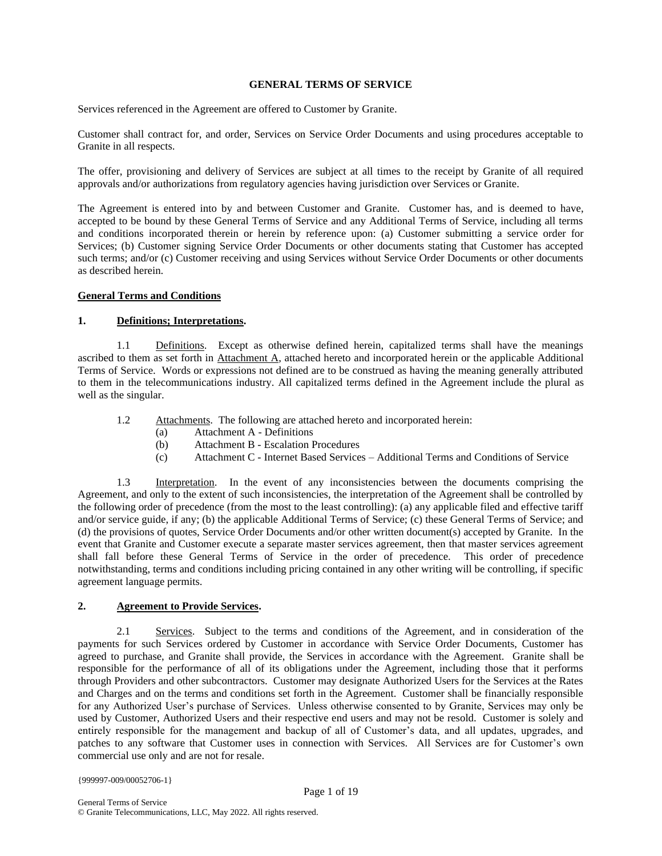#### **GENERAL TERMS OF SERVICE**

Services referenced in the Agreement are offered to Customer by Granite.

Customer shall contract for, and order, Services on Service Order Documents and using procedures acceptable to Granite in all respects.

The offer, provisioning and delivery of Services are subject at all times to the receipt by Granite of all required approvals and/or authorizations from regulatory agencies having jurisdiction over Services or Granite.

The Agreement is entered into by and between Customer and Granite. Customer has, and is deemed to have, accepted to be bound by these General Terms of Service and any Additional Terms of Service, including all terms and conditions incorporated therein or herein by reference upon: (a) Customer submitting a service order for Services; (b) Customer signing Service Order Documents or other documents stating that Customer has accepted such terms; and/or (c) Customer receiving and using Services without Service Order Documents or other documents as described herein.

#### **General Terms and Conditions**

#### **1. Definitions; Interpretations.**

1.1 Definitions. Except as otherwise defined herein, capitalized terms shall have the meanings ascribed to them as set forth in Attachment A, attached hereto and incorporated herein or the applicable Additional Terms of Service. Words or expressions not defined are to be construed as having the meaning generally attributed to them in the telecommunications industry. All capitalized terms defined in the Agreement include the plural as well as the singular.

- 1.2 Attachments. The following are attached hereto and incorporated herein:
	- (a) Attachment A Definitions
	- (b) Attachment B Escalation Procedures
	- (c) Attachment C Internet Based Services Additional Terms and Conditions of Service

1.3 Interpretation. In the event of any inconsistencies between the documents comprising the Agreement, and only to the extent of such inconsistencies, the interpretation of the Agreement shall be controlled by the following order of precedence (from the most to the least controlling): (a) any applicable filed and effective tariff and/or service guide, if any; (b) the applicable Additional Terms of Service; (c) these General Terms of Service; and (d) the provisions of quotes, Service Order Documents and/or other written document(s) accepted by Granite. In the event that Granite and Customer execute a separate master services agreement, then that master services agreement shall fall before these General Terms of Service in the order of precedence. This order of precedence notwithstanding, terms and conditions including pricing contained in any other writing will be controlling, if specific agreement language permits.

# **2. Agreement to Provide Services.**

2.1 Services. Subject to the terms and conditions of the Agreement, and in consideration of the payments for such Services ordered by Customer in accordance with Service Order Documents, Customer has agreed to purchase, and Granite shall provide, the Services in accordance with the Agreement. Granite shall be responsible for the performance of all of its obligations under the Agreement, including those that it performs through Providers and other subcontractors. Customer may designate Authorized Users for the Services at the Rates and Charges and on the terms and conditions set forth in the Agreement. Customer shall be financially responsible for any Authorized User's purchase of Services. Unless otherwise consented to by Granite, Services may only be used by Customer, Authorized Users and their respective end users and may not be resold. Customer is solely and entirely responsible for the management and backup of all of Customer's data, and all updates, upgrades, and patches to any software that Customer uses in connection with Services. All Services are for Customer's own commercial use only and are not for resale.

{999997-009/00052706-1}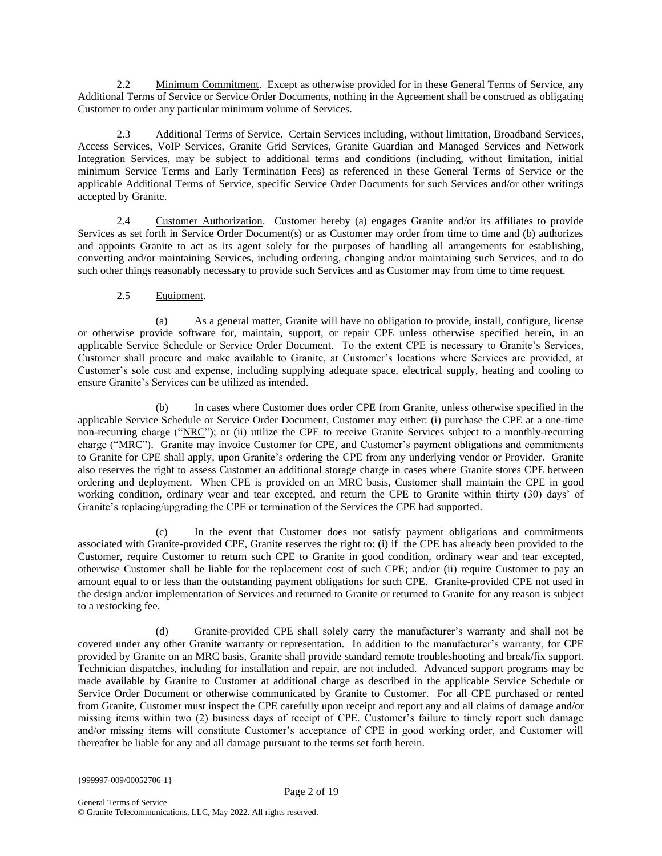2.2 Minimum Commitment. Except as otherwise provided for in these General Terms of Service, any Additional Terms of Service or Service Order Documents, nothing in the Agreement shall be construed as obligating Customer to order any particular minimum volume of Services.

2.3 Additional Terms of Service. Certain Services including, without limitation, Broadband Services, Access Services, VoIP Services, Granite Grid Services, Granite Guardian and Managed Services and Network Integration Services, may be subject to additional terms and conditions (including, without limitation, initial minimum Service Terms and Early Termination Fees) as referenced in these General Terms of Service or the applicable Additional Terms of Service, specific Service Order Documents for such Services and/or other writings accepted by Granite.

2.4 Customer Authorization. Customer hereby (a) engages Granite and/or its affiliates to provide Services as set forth in Service Order Document(s) or as Customer may order from time to time and (b) authorizes and appoints Granite to act as its agent solely for the purposes of handling all arrangements for establishing, converting and/or maintaining Services, including ordering, changing and/or maintaining such Services, and to do such other things reasonably necessary to provide such Services and as Customer may from time to time request.

# 2.5 Equipment.

(a) As a general matter, Granite will have no obligation to provide, install, configure, license or otherwise provide software for, maintain, support, or repair CPE unless otherwise specified herein, in an applicable Service Schedule or Service Order Document. To the extent CPE is necessary to Granite's Services, Customer shall procure and make available to Granite, at Customer's locations where Services are provided, at Customer's sole cost and expense, including supplying adequate space, electrical supply, heating and cooling to ensure Granite's Services can be utilized as intended.

(b) In cases where Customer does order CPE from Granite, unless otherwise specified in the applicable Service Schedule or Service Order Document, Customer may either: (i) purchase the CPE at a one-time non-recurring charge ("NRC"); or (ii) utilize the CPE to receive Granite Services subject to a monthly-recurring charge ("MRC"). Granite may invoice Customer for CPE, and Customer's payment obligations and commitments to Granite for CPE shall apply, upon Granite's ordering the CPE from any underlying vendor or Provider. Granite also reserves the right to assess Customer an additional storage charge in cases where Granite stores CPE between ordering and deployment. When CPE is provided on an MRC basis, Customer shall maintain the CPE in good working condition, ordinary wear and tear excepted, and return the CPE to Granite within thirty (30) days' of Granite's replacing/upgrading the CPE or termination of the Services the CPE had supported.

(c) In the event that Customer does not satisfy payment obligations and commitments associated with Granite-provided CPE, Granite reserves the right to: (i) if the CPE has already been provided to the Customer, require Customer to return such CPE to Granite in good condition, ordinary wear and tear excepted, otherwise Customer shall be liable for the replacement cost of such CPE; and/or (ii) require Customer to pay an amount equal to or less than the outstanding payment obligations for such CPE. Granite-provided CPE not used in the design and/or implementation of Services and returned to Granite or returned to Granite for any reason is subject to a restocking fee.

(d) Granite-provided CPE shall solely carry the manufacturer's warranty and shall not be covered under any other Granite warranty or representation. In addition to the manufacturer's warranty, for CPE provided by Granite on an MRC basis, Granite shall provide standard remote troubleshooting and break/fix support. Technician dispatches, including for installation and repair, are not included. Advanced support programs may be made available by Granite to Customer at additional charge as described in the applicable Service Schedule or Service Order Document or otherwise communicated by Granite to Customer. For all CPE purchased or rented from Granite, Customer must inspect the CPE carefully upon receipt and report any and all claims of damage and/or missing items within two (2) business days of receipt of CPE. Customer's failure to timely report such damage and/or missing items will constitute Customer's acceptance of CPE in good working order, and Customer will thereafter be liable for any and all damage pursuant to the terms set forth herein.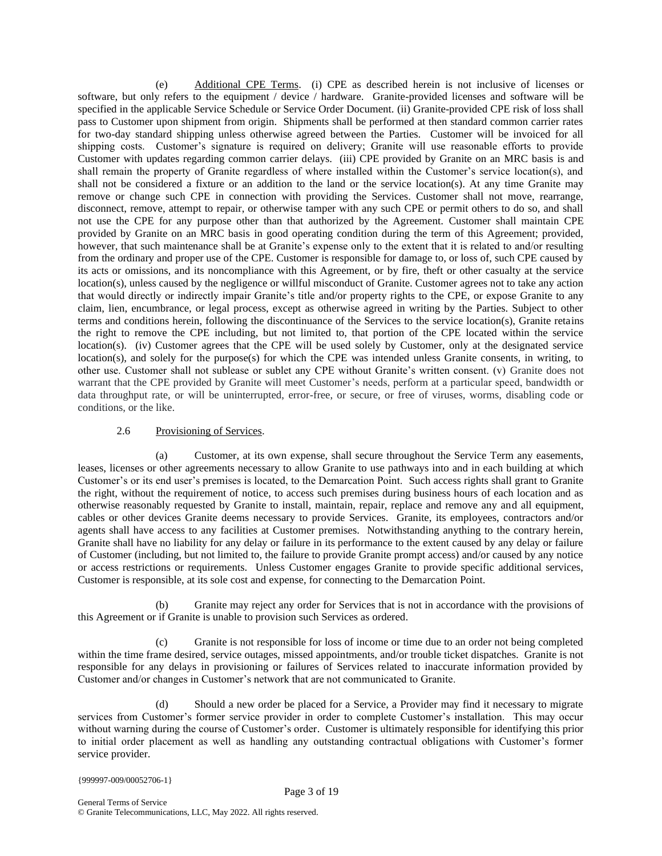(e) Additional CPE Terms. (i) CPE as described herein is not inclusive of licenses or software, but only refers to the equipment / device / hardware. Granite-provided licenses and software will be specified in the applicable Service Schedule or Service Order Document. (ii) Granite-provided CPE risk of loss shall pass to Customer upon shipment from origin. Shipments shall be performed at then standard common carrier rates for two-day standard shipping unless otherwise agreed between the Parties. Customer will be invoiced for all shipping costs. Customer's signature is required on delivery; Granite will use reasonable efforts to provide Customer with updates regarding common carrier delays. (iii) CPE provided by Granite on an MRC basis is and shall remain the property of Granite regardless of where installed within the Customer's service location(s), and shall not be considered a fixture or an addition to the land or the service location(s). At any time Granite may remove or change such CPE in connection with providing the Services. Customer shall not move, rearrange, disconnect, remove, attempt to repair, or otherwise tamper with any such CPE or permit others to do so, and shall not use the CPE for any purpose other than that authorized by the Agreement. Customer shall maintain CPE provided by Granite on an MRC basis in good operating condition during the term of this Agreement; provided, however, that such maintenance shall be at Granite's expense only to the extent that it is related to and/or resulting from the ordinary and proper use of the CPE. Customer is responsible for damage to, or loss of, such CPE caused by its acts or omissions, and its noncompliance with this Agreement, or by fire, theft or other casualty at the service location(s), unless caused by the negligence or willful misconduct of Granite. Customer agrees not to take any action that would directly or indirectly impair Granite's title and/or property rights to the CPE, or expose Granite to any claim, lien, encumbrance, or legal process, except as otherwise agreed in writing by the Parties. Subject to other terms and conditions herein, following the discontinuance of the Services to the service location(s), Granite retains the right to remove the CPE including, but not limited to, that portion of the CPE located within the service location(s). (iv) Customer agrees that the CPE will be used solely by Customer, only at the designated service location(s), and solely for the purpose(s) for which the CPE was intended unless Granite consents, in writing, to other use. Customer shall not sublease or sublet any CPE without Granite's written consent. (v) Granite does not warrant that the CPE provided by Granite will meet Customer's needs, perform at a particular speed, bandwidth or data throughput rate, or will be uninterrupted, error-free, or secure, or free of viruses, worms, disabling code or conditions, or the like.

#### 2.6 Provisioning of Services.

(a) Customer, at its own expense, shall secure throughout the Service Term any easements, leases, licenses or other agreements necessary to allow Granite to use pathways into and in each building at which Customer's or its end user's premises is located, to the Demarcation Point. Such access rights shall grant to Granite the right, without the requirement of notice, to access such premises during business hours of each location and as otherwise reasonably requested by Granite to install, maintain, repair, replace and remove any and all equipment, cables or other devices Granite deems necessary to provide Services. Granite, its employees, contractors and/or agents shall have access to any facilities at Customer premises. Notwithstanding anything to the contrary herein, Granite shall have no liability for any delay or failure in its performance to the extent caused by any delay or failure of Customer (including, but not limited to, the failure to provide Granite prompt access) and/or caused by any notice or access restrictions or requirements. Unless Customer engages Granite to provide specific additional services, Customer is responsible, at its sole cost and expense, for connecting to the Demarcation Point.

(b) Granite may reject any order for Services that is not in accordance with the provisions of this Agreement or if Granite is unable to provision such Services as ordered.

(c) Granite is not responsible for loss of income or time due to an order not being completed within the time frame desired, service outages, missed appointments, and/or trouble ticket dispatches. Granite is not responsible for any delays in provisioning or failures of Services related to inaccurate information provided by Customer and/or changes in Customer's network that are not communicated to Granite.

(d) Should a new order be placed for a Service, a Provider may find it necessary to migrate services from Customer's former service provider in order to complete Customer's installation. This may occur without warning during the course of Customer's order. Customer is ultimately responsible for identifying this prior to initial order placement as well as handling any outstanding contractual obligations with Customer's former service provider.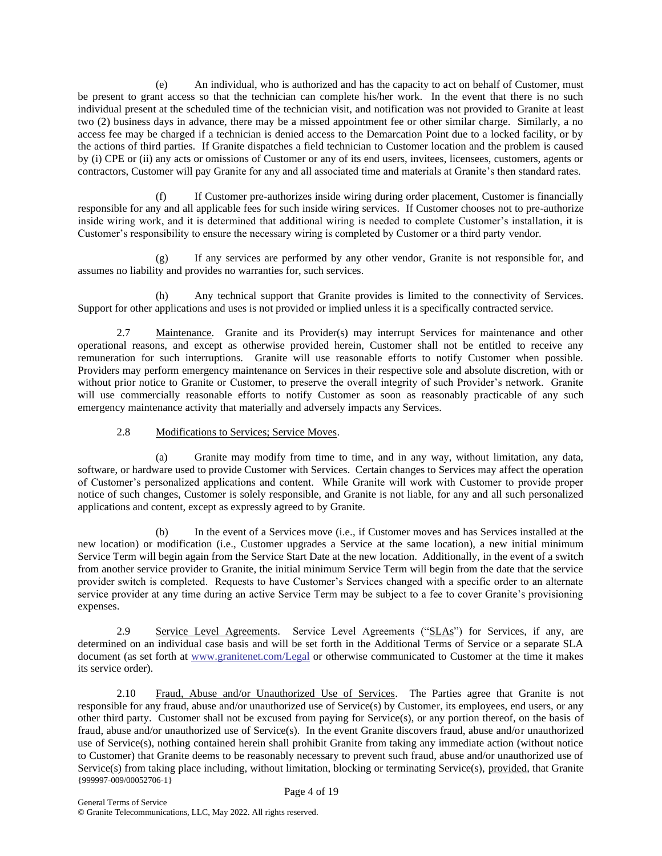(e) An individual, who is authorized and has the capacity to act on behalf of Customer, must be present to grant access so that the technician can complete his/her work. In the event that there is no such individual present at the scheduled time of the technician visit, and notification was not provided to Granite at least two (2) business days in advance, there may be a missed appointment fee or other similar charge. Similarly, a no access fee may be charged if a technician is denied access to the Demarcation Point due to a locked facility, or by the actions of third parties. If Granite dispatches a field technician to Customer location and the problem is caused by (i) CPE or (ii) any acts or omissions of Customer or any of its end users, invitees, licensees, customers, agents or contractors, Customer will pay Granite for any and all associated time and materials at Granite's then standard rates.

(f) If Customer pre-authorizes inside wiring during order placement, Customer is financially responsible for any and all applicable fees for such inside wiring services. If Customer chooses not to pre-authorize inside wiring work, and it is determined that additional wiring is needed to complete Customer's installation, it is Customer's responsibility to ensure the necessary wiring is completed by Customer or a third party vendor.

(g) If any services are performed by any other vendor, Granite is not responsible for, and assumes no liability and provides no warranties for, such services.

(h) Any technical support that Granite provides is limited to the connectivity of Services. Support for other applications and uses is not provided or implied unless it is a specifically contracted service.

2.7 Maintenance. Granite and its Provider(s) may interrupt Services for maintenance and other operational reasons, and except as otherwise provided herein, Customer shall not be entitled to receive any remuneration for such interruptions. Granite will use reasonable efforts to notify Customer when possible. Providers may perform emergency maintenance on Services in their respective sole and absolute discretion, with or without prior notice to Granite or Customer, to preserve the overall integrity of such Provider's network. Granite will use commercially reasonable efforts to notify Customer as soon as reasonably practicable of any such emergency maintenance activity that materially and adversely impacts any Services.

2.8 Modifications to Services; Service Moves.

(a) Granite may modify from time to time, and in any way, without limitation, any data, software, or hardware used to provide Customer with Services. Certain changes to Services may affect the operation of Customer's personalized applications and content. While Granite will work with Customer to provide proper notice of such changes, Customer is solely responsible, and Granite is not liable, for any and all such personalized applications and content, except as expressly agreed to by Granite.

(b) In the event of a Services move (i.e., if Customer moves and has Services installed at the new location) or modification (i.e., Customer upgrades a Service at the same location), a new initial minimum Service Term will begin again from the Service Start Date at the new location. Additionally, in the event of a switch from another service provider to Granite, the initial minimum Service Term will begin from the date that the service provider switch is completed. Requests to have Customer's Services changed with a specific order to an alternate service provider at any time during an active Service Term may be subject to a fee to cover Granite's provisioning expenses.

2.9 Service Level Agreements. Service Level Agreements ("SLAs") for Services, if any, are determined on an individual case basis and will be set forth in the Additional Terms of Service or a separate SLA document (as set forth at [www.granitenet.com/](http://www.granitenet.com/)Legal or otherwise communicated to Customer at the time it makes its service order).

{999997-009/00052706-1} 2.10 Fraud, Abuse and/or Unauthorized Use of Services. The Parties agree that Granite is not responsible for any fraud, abuse and/or unauthorized use of Service(s) by Customer, its employees, end users, or any other third party. Customer shall not be excused from paying for Service(s), or any portion thereof, on the basis of fraud, abuse and/or unauthorized use of Service(s). In the event Granite discovers fraud, abuse and/or unauthorized use of Service(s), nothing contained herein shall prohibit Granite from taking any immediate action (without notice to Customer) that Granite deems to be reasonably necessary to prevent such fraud, abuse and/or unauthorized use of Service(s) from taking place including, without limitation, blocking or terminating Service(s), provided, that Granite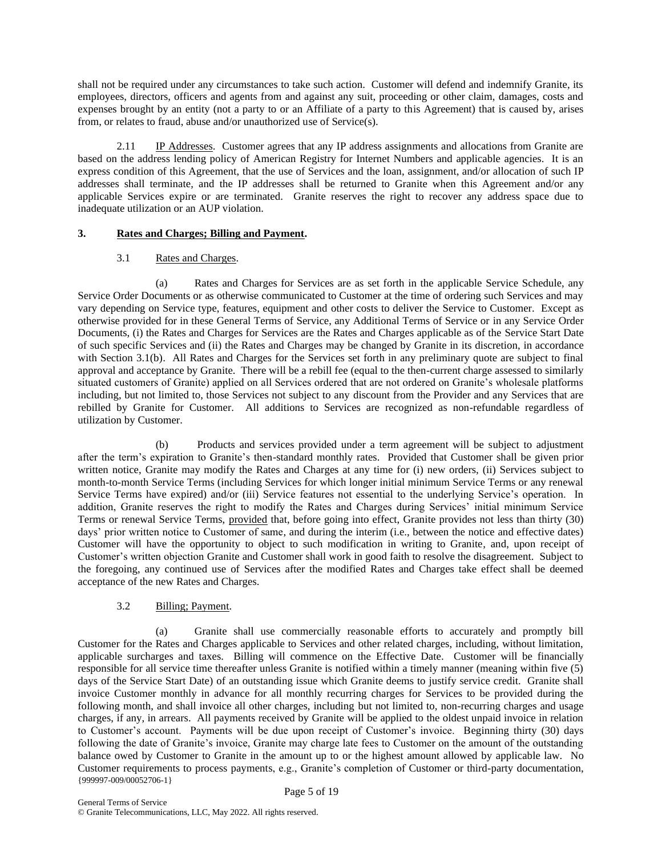shall not be required under any circumstances to take such action. Customer will defend and indemnify Granite, its employees, directors, officers and agents from and against any suit, proceeding or other claim, damages, costs and expenses brought by an entity (not a party to or an Affiliate of a party to this Agreement) that is caused by, arises from, or relates to fraud, abuse and/or unauthorized use of Service(s).

2.11 IP Addresses. Customer agrees that any IP address assignments and allocations from Granite are based on the address lending policy of American Registry for Internet Numbers and applicable agencies. It is an express condition of this Agreement, that the use of Services and the loan, assignment, and/or allocation of such IP addresses shall terminate, and the IP addresses shall be returned to Granite when this Agreement and/or any applicable Services expire or are terminated. Granite reserves the right to recover any address space due to inadequate utilization or an AUP violation.

# **3. Rates and Charges; Billing and Payment.**

# 3.1 Rates and Charges.

(a) Rates and Charges for Services are as set forth in the applicable Service Schedule, any Service Order Documents or as otherwise communicated to Customer at the time of ordering such Services and may vary depending on Service type, features, equipment and other costs to deliver the Service to Customer. Except as otherwise provided for in these General Terms of Service, any Additional Terms of Service or in any Service Order Documents, (i) the Rates and Charges for Services are the Rates and Charges applicable as of the Service Start Date of such specific Services and (ii) the Rates and Charges may be changed by Granite in its discretion, in accordance with Section 3.1(b). All Rates and Charges for the Services set forth in any preliminary quote are subject to final approval and acceptance by Granite. There will be a rebill fee (equal to the then-current charge assessed to similarly situated customers of Granite) applied on all Services ordered that are not ordered on Granite's wholesale platforms including, but not limited to, those Services not subject to any discount from the Provider and any Services that are rebilled by Granite for Customer. All additions to Services are recognized as non-refundable regardless of utilization by Customer.

(b) Products and services provided under a term agreement will be subject to adjustment after the term's expiration to Granite's then-standard monthly rates. Provided that Customer shall be given prior written notice, Granite may modify the Rates and Charges at any time for (i) new orders, (ii) Services subject to month-to-month Service Terms (including Services for which longer initial minimum Service Terms or any renewal Service Terms have expired) and/or (iii) Service features not essential to the underlying Service's operation. In addition, Granite reserves the right to modify the Rates and Charges during Services' initial minimum Service Terms or renewal Service Terms, provided that, before going into effect, Granite provides not less than thirty (30) days' prior written notice to Customer of same, and during the interim (i.e., between the notice and effective dates) Customer will have the opportunity to object to such modification in writing to Granite, and, upon receipt of Customer's written objection Granite and Customer shall work in good faith to resolve the disagreement. Subject to the foregoing, any continued use of Services after the modified Rates and Charges take effect shall be deemed acceptance of the new Rates and Charges.

# 3.2 Billing; Payment.

{999997-009/00052706-1} (a) Granite shall use commercially reasonable efforts to accurately and promptly bill Customer for the Rates and Charges applicable to Services and other related charges, including, without limitation, applicable surcharges and taxes. Billing will commence on the Effective Date. Customer will be financially responsible for all service time thereafter unless Granite is notified within a timely manner (meaning within five (5) days of the Service Start Date) of an outstanding issue which Granite deems to justify service credit. Granite shall invoice Customer monthly in advance for all monthly recurring charges for Services to be provided during the following month, and shall invoice all other charges, including but not limited to, non-recurring charges and usage charges, if any, in arrears. All payments received by Granite will be applied to the oldest unpaid invoice in relation to Customer's account. Payments will be due upon receipt of Customer's invoice. Beginning thirty (30) days following the date of Granite's invoice, Granite may charge late fees to Customer on the amount of the outstanding balance owed by Customer to Granite in the amount up to or the highest amount allowed by applicable law. No Customer requirements to process payments, e.g., Granite's completion of Customer or third-party documentation,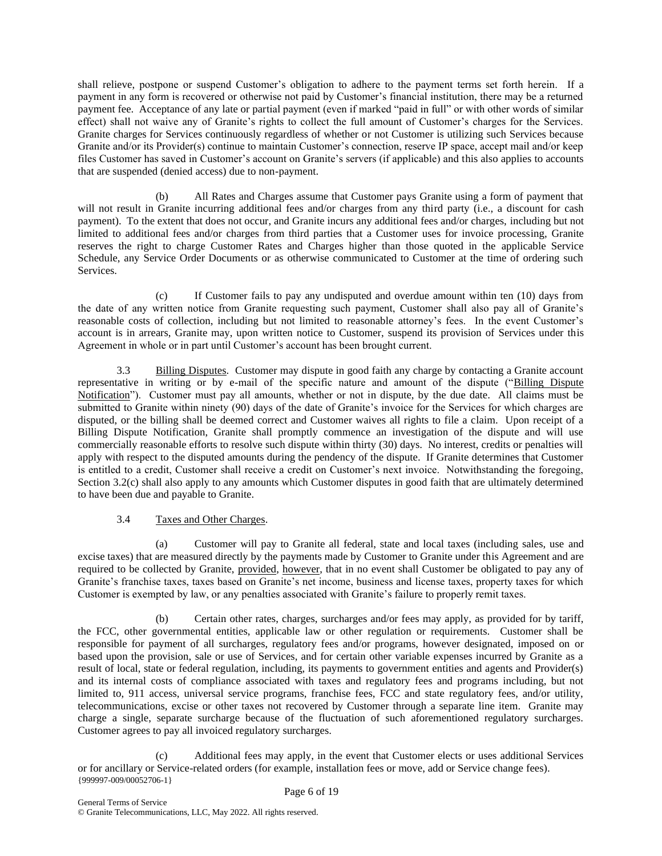shall relieve, postpone or suspend Customer's obligation to adhere to the payment terms set forth herein. If a payment in any form is recovered or otherwise not paid by Customer's financial institution, there may be a returned payment fee. Acceptance of any late or partial payment (even if marked "paid in full" or with other words of similar effect) shall not waive any of Granite's rights to collect the full amount of Customer's charges for the Services. Granite charges for Services continuously regardless of whether or not Customer is utilizing such Services because Granite and/or its Provider(s) continue to maintain Customer's connection, reserve IP space, accept mail and/or keep files Customer has saved in Customer's account on Granite's servers (if applicable) and this also applies to accounts that are suspended (denied access) due to non-payment.

(b) All Rates and Charges assume that Customer pays Granite using a form of payment that will not result in Granite incurring additional fees and/or charges from any third party (i.e., a discount for cash payment). To the extent that does not occur, and Granite incurs any additional fees and/or charges, including but not limited to additional fees and/or charges from third parties that a Customer uses for invoice processing, Granite reserves the right to charge Customer Rates and Charges higher than those quoted in the applicable Service Schedule, any Service Order Documents or as otherwise communicated to Customer at the time of ordering such Services.

(c) If Customer fails to pay any undisputed and overdue amount within ten (10) days from the date of any written notice from Granite requesting such payment, Customer shall also pay all of Granite's reasonable costs of collection, including but not limited to reasonable attorney's fees. In the event Customer's account is in arrears, Granite may, upon written notice to Customer, suspend its provision of Services under this Agreement in whole or in part until Customer's account has been brought current.

3.3 Billing Disputes. Customer may dispute in good faith any charge by contacting a Granite account representative in writing or by e-mail of the specific nature and amount of the dispute ("Billing Dispute Notification"). Customer must pay all amounts, whether or not in dispute, by the due date. All claims must be submitted to Granite within ninety (90) days of the date of Granite's invoice for the Services for which charges are disputed, or the billing shall be deemed correct and Customer waives all rights to file a claim. Upon receipt of a Billing Dispute Notification, Granite shall promptly commence an investigation of the dispute and will use commercially reasonable efforts to resolve such dispute within thirty (30) days. No interest, credits or penalties will apply with respect to the disputed amounts during the pendency of the dispute. If Granite determines that Customer is entitled to a credit, Customer shall receive a credit on Customer's next invoice. Notwithstanding the foregoing, Section 3.2(c) shall also apply to any amounts which Customer disputes in good faith that are ultimately determined to have been due and payable to Granite.

# 3.4 Taxes and Other Charges.

Customer will pay to Granite all federal, state and local taxes (including sales, use and excise taxes) that are measured directly by the payments made by Customer to Granite under this Agreement and are required to be collected by Granite, provided, however, that in no event shall Customer be obligated to pay any of Granite's franchise taxes, taxes based on Granite's net income, business and license taxes, property taxes for which Customer is exempted by law, or any penalties associated with Granite's failure to properly remit taxes.

(b) Certain other rates, charges, surcharges and/or fees may apply, as provided for by tariff, the FCC, other governmental entities, applicable law or other regulation or requirements. Customer shall be responsible for payment of all surcharges, regulatory fees and/or programs, however designated, imposed on or based upon the provision, sale or use of Services, and for certain other variable expenses incurred by Granite as a result of local, state or federal regulation, including, its payments to government entities and agents and Provider(s) and its internal costs of compliance associated with taxes and regulatory fees and programs including, but not limited to, 911 access, universal service programs, franchise fees, FCC and state regulatory fees, and/or utility, telecommunications, excise or other taxes not recovered by Customer through a separate line item. Granite may charge a single, separate surcharge because of the fluctuation of such aforementioned regulatory surcharges. Customer agrees to pay all invoiced regulatory surcharges.

{999997-009/00052706-1} (c) Additional fees may apply, in the event that Customer elects or uses additional Services or for ancillary or Service-related orders (for example, installation fees or move, add or Service change fees).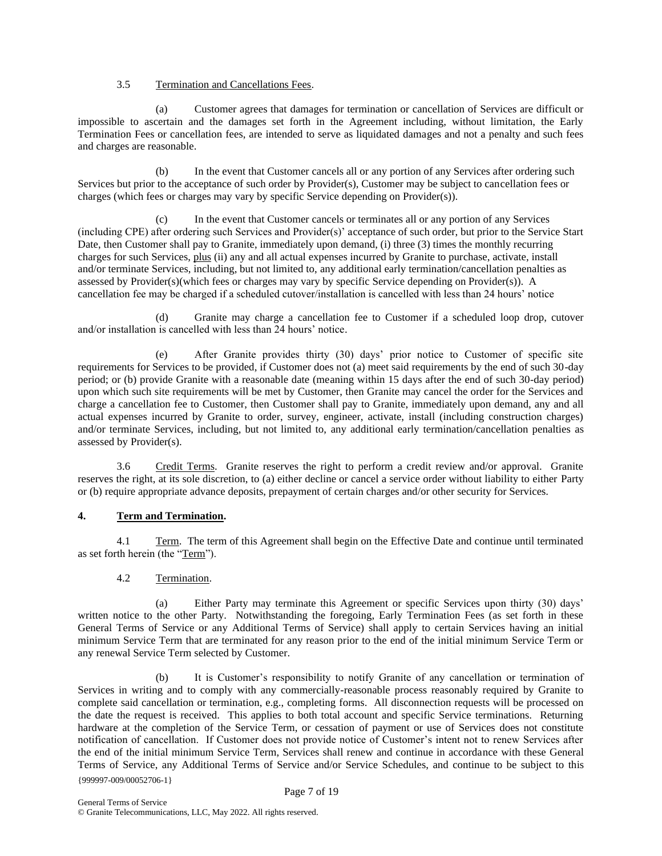# 3.5 Termination and Cancellations Fees.

(a) Customer agrees that damages for termination or cancellation of Services are difficult or impossible to ascertain and the damages set forth in the Agreement including, without limitation, the Early Termination Fees or cancellation fees, are intended to serve as liquidated damages and not a penalty and such fees and charges are reasonable.

(b) In the event that Customer cancels all or any portion of any Services after ordering such Services but prior to the acceptance of such order by Provider(s), Customer may be subject to cancellation fees or charges (which fees or charges may vary by specific Service depending on Provider(s)).

In the event that Customer cancels or terminates all or any portion of any Services (including CPE) after ordering such Services and Provider(s)' acceptance of such order, but prior to the Service Start Date, then Customer shall pay to Granite, immediately upon demand, (i) three (3) times the monthly recurring charges for such Services, plus (ii) any and all actual expenses incurred by Granite to purchase, activate, install and/or terminate Services, including, but not limited to, any additional early termination/cancellation penalties as assessed by Provider(s)(which fees or charges may vary by specific Service depending on Provider(s)). A cancellation fee may be charged if a scheduled cutover/installation is cancelled with less than 24 hours' notice

(d) Granite may charge a cancellation fee to Customer if a scheduled loop drop, cutover and/or installation is cancelled with less than 24 hours' notice.

(e) After Granite provides thirty (30) days' prior notice to Customer of specific site requirements for Services to be provided, if Customer does not (a) meet said requirements by the end of such 30-day period; or (b) provide Granite with a reasonable date (meaning within 15 days after the end of such 30-day period) upon which such site requirements will be met by Customer, then Granite may cancel the order for the Services and charge a cancellation fee to Customer, then Customer shall pay to Granite, immediately upon demand, any and all actual expenses incurred by Granite to order, survey, engineer, activate, install (including construction charges) and/or terminate Services, including, but not limited to, any additional early termination/cancellation penalties as assessed by Provider(s).

3.6 Credit Terms. Granite reserves the right to perform a credit review and/or approval. Granite reserves the right, at its sole discretion, to (a) either decline or cancel a service order without liability to either Party or (b) require appropriate advance deposits, prepayment of certain charges and/or other security for Services.

# **4. Term and Termination.**

4.1 Term. The term of this Agreement shall begin on the Effective Date and continue until terminated as set forth herein (the "Term").

# 4.2 Termination.

(a) Either Party may terminate this Agreement or specific Services upon thirty (30) days' written notice to the other Party. Notwithstanding the foregoing, Early Termination Fees (as set forth in these General Terms of Service or any Additional Terms of Service) shall apply to certain Services having an initial minimum Service Term that are terminated for any reason prior to the end of the initial minimum Service Term or any renewal Service Term selected by Customer.

{999997-009/00052706-1} (b) It is Customer's responsibility to notify Granite of any cancellation or termination of Services in writing and to comply with any commercially-reasonable process reasonably required by Granite to complete said cancellation or termination, e.g., completing forms. All disconnection requests will be processed on the date the request is received. This applies to both total account and specific Service terminations. Returning hardware at the completion of the Service Term, or cessation of payment or use of Services does not constitute notification of cancellation. If Customer does not provide notice of Customer's intent not to renew Services after the end of the initial minimum Service Term, Services shall renew and continue in accordance with these General Terms of Service, any Additional Terms of Service and/or Service Schedules, and continue to be subject to this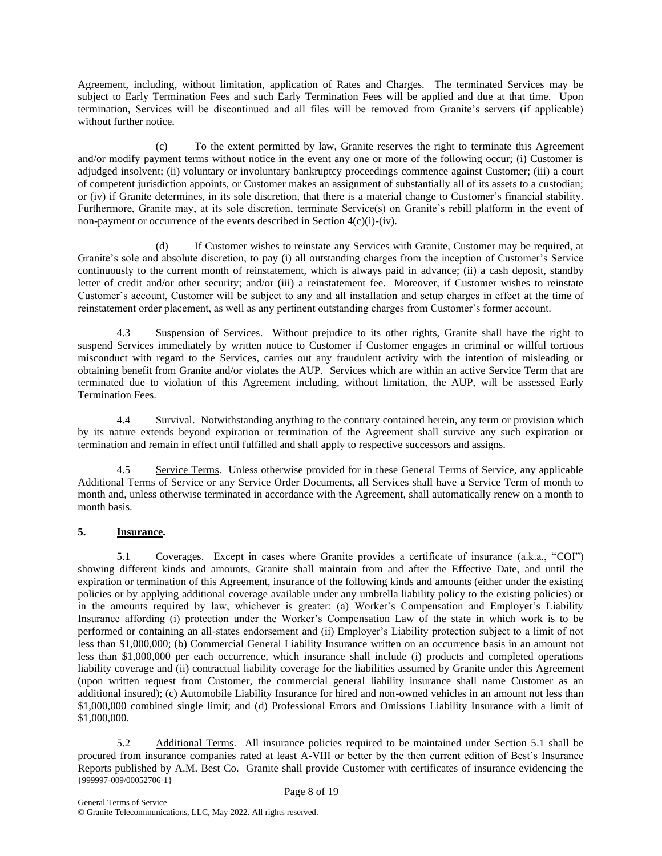Agreement, including, without limitation, application of Rates and Charges. The terminated Services may be subject to Early Termination Fees and such Early Termination Fees will be applied and due at that time. Upon termination, Services will be discontinued and all files will be removed from Granite's servers (if applicable) without further notice

(c) To the extent permitted by law, Granite reserves the right to terminate this Agreement and/or modify payment terms without notice in the event any one or more of the following occur; (i) Customer is adjudged insolvent; (ii) voluntary or involuntary bankruptcy proceedings commence against Customer; (iii) a court of competent jurisdiction appoints, or Customer makes an assignment of substantially all of its assets to a custodian; or (iv) if Granite determines, in its sole discretion, that there is a material change to Customer's financial stability. Furthermore, Granite may, at its sole discretion, terminate Service(s) on Granite's rebill platform in the event of non-payment or occurrence of the events described in Section  $4(c)(i)-(iv)$ .

(d) If Customer wishes to reinstate any Services with Granite, Customer may be required, at Granite's sole and absolute discretion, to pay (i) all outstanding charges from the inception of Customer's Service continuously to the current month of reinstatement, which is always paid in advance; (ii) a cash deposit, standby letter of credit and/or other security; and/or (iii) a reinstatement fee. Moreover, if Customer wishes to reinstate Customer's account, Customer will be subject to any and all installation and setup charges in effect at the time of reinstatement order placement, as well as any pertinent outstanding charges from Customer's former account.

4.3 Suspension of Services. Without prejudice to its other rights, Granite shall have the right to suspend Services immediately by written notice to Customer if Customer engages in criminal or willful tortious misconduct with regard to the Services, carries out any fraudulent activity with the intention of misleading or obtaining benefit from Granite and/or violates the AUP. Services which are within an active Service Term that are terminated due to violation of this Agreement including, without limitation, the AUP, will be assessed Early Termination Fees.

4.4 Survival. Notwithstanding anything to the contrary contained herein, any term or provision which by its nature extends beyond expiration or termination of the Agreement shall survive any such expiration or termination and remain in effect until fulfilled and shall apply to respective successors and assigns.

4.5 Service Terms. Unless otherwise provided for in these General Terms of Service, any applicable Additional Terms of Service or any Service Order Documents, all Services shall have a Service Term of month to month and, unless otherwise terminated in accordance with the Agreement, shall automatically renew on a month to month basis.

# **5. Insurance.**

5.1 Coverages. Except in cases where Granite provides a certificate of insurance (a.k.a., "COI") showing different kinds and amounts, Granite shall maintain from and after the Effective Date, and until the expiration or termination of this Agreement, insurance of the following kinds and amounts (either under the existing policies or by applying additional coverage available under any umbrella liability policy to the existing policies) or in the amounts required by law, whichever is greater: (a) Worker's Compensation and Employer's Liability Insurance affording (i) protection under the Worker's Compensation Law of the state in which work is to be performed or containing an all-states endorsement and (ii) Employer's Liability protection subject to a limit of not less than \$1,000,000; (b) Commercial General Liability Insurance written on an occurrence basis in an amount not less than \$1,000,000 per each occurrence, which insurance shall include (i) products and completed operations liability coverage and (ii) contractual liability coverage for the liabilities assumed by Granite under this Agreement (upon written request from Customer, the commercial general liability insurance shall name Customer as an additional insured); (c) Automobile Liability Insurance for hired and non-owned vehicles in an amount not less than \$1,000,000 combined single limit; and (d) Professional Errors and Omissions Liability Insurance with a limit of \$1,000,000.

{999997-009/00052706-1} 5.2 Additional Terms. All insurance policies required to be maintained under Section 5.1 shall be procured from insurance companies rated at least A-VIII or better by the then current edition of Best's Insurance Reports published by A.M. Best Co. Granite shall provide Customer with certificates of insurance evidencing the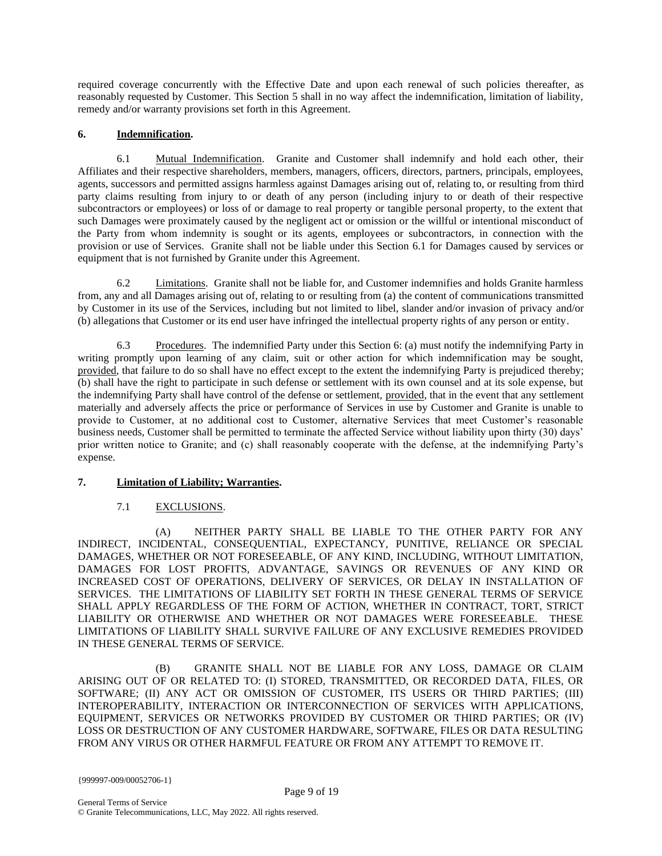required coverage concurrently with the Effective Date and upon each renewal of such policies thereafter, as reasonably requested by Customer. This Section 5 shall in no way affect the indemnification, limitation of liability, remedy and/or warranty provisions set forth in this Agreement.

# **6. Indemnification.**

6.1 Mutual Indemnification. Granite and Customer shall indemnify and hold each other, their Affiliates and their respective shareholders, members, managers, officers, directors, partners, principals, employees, agents, successors and permitted assigns harmless against Damages arising out of, relating to, or resulting from third party claims resulting from injury to or death of any person (including injury to or death of their respective subcontractors or employees) or loss of or damage to real property or tangible personal property, to the extent that such Damages were proximately caused by the negligent act or omission or the willful or intentional misconduct of the Party from whom indemnity is sought or its agents, employees or subcontractors, in connection with the provision or use of Services. Granite shall not be liable under this Section 6.1 for Damages caused by services or equipment that is not furnished by Granite under this Agreement.

6.2 Limitations. Granite shall not be liable for, and Customer indemnifies and holds Granite harmless from, any and all Damages arising out of, relating to or resulting from (a) the content of communications transmitted by Customer in its use of the Services, including but not limited to libel, slander and/or invasion of privacy and/or (b) allegations that Customer or its end user have infringed the intellectual property rights of any person or entity.

6.3 Procedures. The indemnified Party under this Section 6: (a) must notify the indemnifying Party in writing promptly upon learning of any claim, suit or other action for which indemnification may be sought, provided, that failure to do so shall have no effect except to the extent the indemnifying Party is prejudiced thereby; (b) shall have the right to participate in such defense or settlement with its own counsel and at its sole expense, but the indemnifying Party shall have control of the defense or settlement, provided, that in the event that any settlement materially and adversely affects the price or performance of Services in use by Customer and Granite is unable to provide to Customer, at no additional cost to Customer, alternative Services that meet Customer's reasonable business needs, Customer shall be permitted to terminate the affected Service without liability upon thirty (30) days' prior written notice to Granite; and (c) shall reasonably cooperate with the defense, at the indemnifying Party's expense.

# **7. Limitation of Liability; Warranties.**

# 7.1 EXCLUSIONS.

(A) NEITHER PARTY SHALL BE LIABLE TO THE OTHER PARTY FOR ANY INDIRECT, INCIDENTAL, CONSEQUENTIAL, EXPECTANCY, PUNITIVE, RELIANCE OR SPECIAL DAMAGES, WHETHER OR NOT FORESEEABLE, OF ANY KIND, INCLUDING, WITHOUT LIMITATION, DAMAGES FOR LOST PROFITS, ADVANTAGE, SAVINGS OR REVENUES OF ANY KIND OR INCREASED COST OF OPERATIONS, DELIVERY OF SERVICES, OR DELAY IN INSTALLATION OF SERVICES. THE LIMITATIONS OF LIABILITY SET FORTH IN THESE GENERAL TERMS OF SERVICE SHALL APPLY REGARDLESS OF THE FORM OF ACTION, WHETHER IN CONTRACT, TORT, STRICT LIABILITY OR OTHERWISE AND WHETHER OR NOT DAMAGES WERE FORESEEABLE. THESE LIMITATIONS OF LIABILITY SHALL SURVIVE FAILURE OF ANY EXCLUSIVE REMEDIES PROVIDED IN THESE GENERAL TERMS OF SERVICE.

(B) GRANITE SHALL NOT BE LIABLE FOR ANY LOSS, DAMAGE OR CLAIM ARISING OUT OF OR RELATED TO: (I) STORED, TRANSMITTED, OR RECORDED DATA, FILES, OR SOFTWARE; (II) ANY ACT OR OMISSION OF CUSTOMER, ITS USERS OR THIRD PARTIES; (III) INTEROPERABILITY, INTERACTION OR INTERCONNECTION OF SERVICES WITH APPLICATIONS, EQUIPMENT, SERVICES OR NETWORKS PROVIDED BY CUSTOMER OR THIRD PARTIES; OR (IV) LOSS OR DESTRUCTION OF ANY CUSTOMER HARDWARE, SOFTWARE, FILES OR DATA RESULTING FROM ANY VIRUS OR OTHER HARMFUL FEATURE OR FROM ANY ATTEMPT TO REMOVE IT.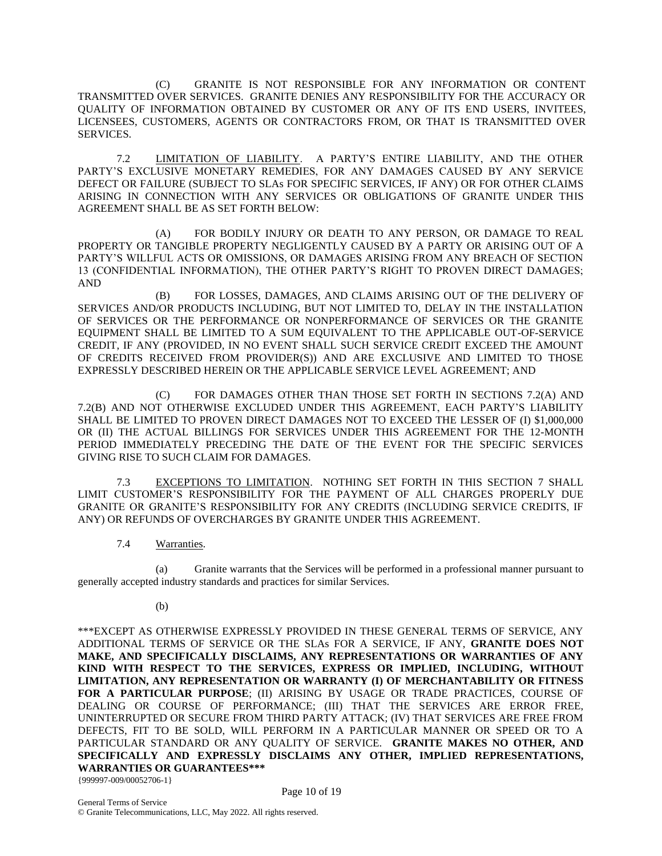(C) GRANITE IS NOT RESPONSIBLE FOR ANY INFORMATION OR CONTENT TRANSMITTED OVER SERVICES. GRANITE DENIES ANY RESPONSIBILITY FOR THE ACCURACY OR QUALITY OF INFORMATION OBTAINED BY CUSTOMER OR ANY OF ITS END USERS, INVITEES, LICENSEES, CUSTOMERS, AGENTS OR CONTRACTORS FROM, OR THAT IS TRANSMITTED OVER SERVICES.

7.2 LIMITATION OF LIABILITY. A PARTY'S ENTIRE LIABILITY, AND THE OTHER PARTY'S EXCLUSIVE MONETARY REMEDIES, FOR ANY DAMAGES CAUSED BY ANY SERVICE DEFECT OR FAILURE (SUBJECT TO SLAs FOR SPECIFIC SERVICES, IF ANY) OR FOR OTHER CLAIMS ARISING IN CONNECTION WITH ANY SERVICES OR OBLIGATIONS OF GRANITE UNDER THIS AGREEMENT SHALL BE AS SET FORTH BELOW:

(A) FOR BODILY INJURY OR DEATH TO ANY PERSON, OR DAMAGE TO REAL PROPERTY OR TANGIBLE PROPERTY NEGLIGENTLY CAUSED BY A PARTY OR ARISING OUT OF A PARTY'S WILLFUL ACTS OR OMISSIONS, OR DAMAGES ARISING FROM ANY BREACH OF SECTION 13 (CONFIDENTIAL INFORMATION), THE OTHER PARTY'S RIGHT TO PROVEN DIRECT DAMAGES; AND

(B) FOR LOSSES, DAMAGES, AND CLAIMS ARISING OUT OF THE DELIVERY OF SERVICES AND/OR PRODUCTS INCLUDING, BUT NOT LIMITED TO, DELAY IN THE INSTALLATION OF SERVICES OR THE PERFORMANCE OR NONPERFORMANCE OF SERVICES OR THE GRANITE EQUIPMENT SHALL BE LIMITED TO A SUM EQUIVALENT TO THE APPLICABLE OUT-OF-SERVICE CREDIT, IF ANY (PROVIDED, IN NO EVENT SHALL SUCH SERVICE CREDIT EXCEED THE AMOUNT OF CREDITS RECEIVED FROM PROVIDER(S)) AND ARE EXCLUSIVE AND LIMITED TO THOSE EXPRESSLY DESCRIBED HEREIN OR THE APPLICABLE SERVICE LEVEL AGREEMENT; AND

(C) FOR DAMAGES OTHER THAN THOSE SET FORTH IN SECTIONS 7.2(A) AND 7.2(B) AND NOT OTHERWISE EXCLUDED UNDER THIS AGREEMENT, EACH PARTY'S LIABILITY SHALL BE LIMITED TO PROVEN DIRECT DAMAGES NOT TO EXCEED THE LESSER OF (I) \$1,000,000 OR (II) THE ACTUAL BILLINGS FOR SERVICES UNDER THIS AGREEMENT FOR THE 12-MONTH PERIOD IMMEDIATELY PRECEDING THE DATE OF THE EVENT FOR THE SPECIFIC SERVICES GIVING RISE TO SUCH CLAIM FOR DAMAGES.

7.3 EXCEPTIONS TO LIMITATION. NOTHING SET FORTH IN THIS SECTION 7 SHALL LIMIT CUSTOMER'S RESPONSIBILITY FOR THE PAYMENT OF ALL CHARGES PROPERLY DUE GRANITE OR GRANITE'S RESPONSIBILITY FOR ANY CREDITS (INCLUDING SERVICE CREDITS, IF ANY) OR REFUNDS OF OVERCHARGES BY GRANITE UNDER THIS AGREEMENT.

7.4 Warranties.

(a) Granite warrants that the Services will be performed in a professional manner pursuant to generally accepted industry standards and practices for similar Services.

(b)

\*\*\*EXCEPT AS OTHERWISE EXPRESSLY PROVIDED IN THESE GENERAL TERMS OF SERVICE, ANY ADDITIONAL TERMS OF SERVICE OR THE SLAs FOR A SERVICE, IF ANY, **GRANITE DOES NOT MAKE, AND SPECIFICALLY DISCLAIMS, ANY REPRESENTATIONS OR WARRANTIES OF ANY KIND WITH RESPECT TO THE SERVICES, EXPRESS OR IMPLIED, INCLUDING, WITHOUT LIMITATION, ANY REPRESENTATION OR WARRANTY (I) OF MERCHANTABILITY OR FITNESS FOR A PARTICULAR PURPOSE**; (II) ARISING BY USAGE OR TRADE PRACTICES, COURSE OF DEALING OR COURSE OF PERFORMANCE; (III) THAT THE SERVICES ARE ERROR FREE, UNINTERRUPTED OR SECURE FROM THIRD PARTY ATTACK; (IV) THAT SERVICES ARE FREE FROM DEFECTS, FIT TO BE SOLD, WILL PERFORM IN A PARTICULAR MANNER OR SPEED OR TO A PARTICULAR STANDARD OR ANY QUALITY OF SERVICE. **GRANITE MAKES NO OTHER, AND SPECIFICALLY AND EXPRESSLY DISCLAIMS ANY OTHER, IMPLIED REPRESENTATIONS, WARRANTIES OR GUARANTEES\*\*\***

{999997-009/00052706-1}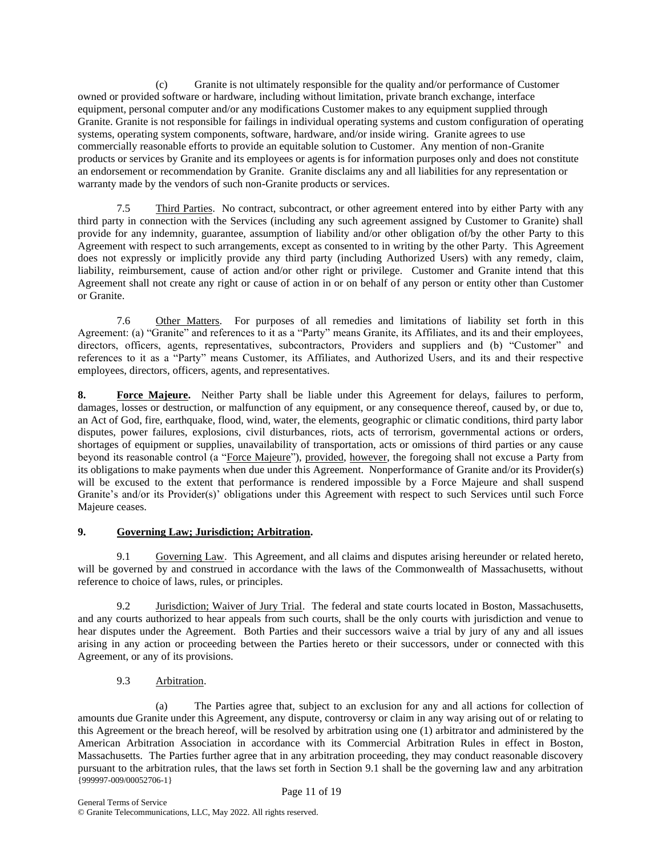(c) Granite is not ultimately responsible for the quality and/or performance of Customer owned or provided software or hardware, including without limitation, private branch exchange, interface equipment, personal computer and/or any modifications Customer makes to any equipment supplied through Granite. Granite is not responsible for failings in individual operating systems and custom configuration of operating systems, operating system components, software, hardware, and/or inside wiring. Granite agrees to use commercially reasonable efforts to provide an equitable solution to Customer. Any mention of non-Granite products or services by Granite and its employees or agents is for information purposes only and does not constitute an endorsement or recommendation by Granite. Granite disclaims any and all liabilities for any representation or warranty made by the vendors of such non-Granite products or services.

7.5 Third Parties. No contract, subcontract, or other agreement entered into by either Party with any third party in connection with the Services (including any such agreement assigned by Customer to Granite) shall provide for any indemnity, guarantee, assumption of liability and/or other obligation of/by the other Party to this Agreement with respect to such arrangements, except as consented to in writing by the other Party. This Agreement does not expressly or implicitly provide any third party (including Authorized Users) with any remedy, claim, liability, reimbursement, cause of action and/or other right or privilege. Customer and Granite intend that this Agreement shall not create any right or cause of action in or on behalf of any person or entity other than Customer or Granite.

7.6 Other Matters. For purposes of all remedies and limitations of liability set forth in this Agreement: (a) "Granite" and references to it as a "Party" means Granite, its Affiliates, and its and their employees, directors, officers, agents, representatives, subcontractors, Providers and suppliers and (b) "Customer" and references to it as a "Party" means Customer, its Affiliates, and Authorized Users, and its and their respective employees, directors, officers, agents, and representatives.

**8. Force Majeure.** Neither Party shall be liable under this Agreement for delays, failures to perform, damages, losses or destruction, or malfunction of any equipment, or any consequence thereof, caused by, or due to, an Act of God, fire, earthquake, flood, wind, water, the elements, geographic or climatic conditions, third party labor disputes, power failures, explosions, civil disturbances, riots, acts of terrorism, governmental actions or orders, shortages of equipment or supplies, unavailability of transportation, acts or omissions of third parties or any cause beyond its reasonable control (a "Force Majeure"), provided, however, the foregoing shall not excuse a Party from its obligations to make payments when due under this Agreement. Nonperformance of Granite and/or its Provider(s) will be excused to the extent that performance is rendered impossible by a Force Majeure and shall suspend Granite's and/or its Provider(s)' obligations under this Agreement with respect to such Services until such Force Majeure ceases.

# **9. Governing Law; Jurisdiction; Arbitration.**

9.1 Governing Law. This Agreement, and all claims and disputes arising hereunder or related hereto, will be governed by and construed in accordance with the laws of the Commonwealth of Massachusetts, without reference to choice of laws, rules, or principles.

9.2 **Jurisdiction; Waiver of Jury Trial**. The federal and state courts located in Boston, Massachusetts, and any courts authorized to hear appeals from such courts, shall be the only courts with jurisdiction and venue to hear disputes under the Agreement. Both Parties and their successors waive a trial by jury of any and all issues arising in any action or proceeding between the Parties hereto or their successors, under or connected with this Agreement, or any of its provisions.

9.3 Arbitration.

{999997-009/00052706-1} Page 11 of 19 (a) The Parties agree that, subject to an exclusion for any and all actions for collection of amounts due Granite under this Agreement, any dispute, controversy or claim in any way arising out of or relating to this Agreement or the breach hereof, will be resolved by arbitration using one (1) arbitrator and administered by the American Arbitration Association in accordance with its Commercial Arbitration Rules in effect in Boston, Massachusetts. The Parties further agree that in any arbitration proceeding, they may conduct reasonable discovery pursuant to the arbitration rules, that the laws set forth in Section 9.1 shall be the governing law and any arbitration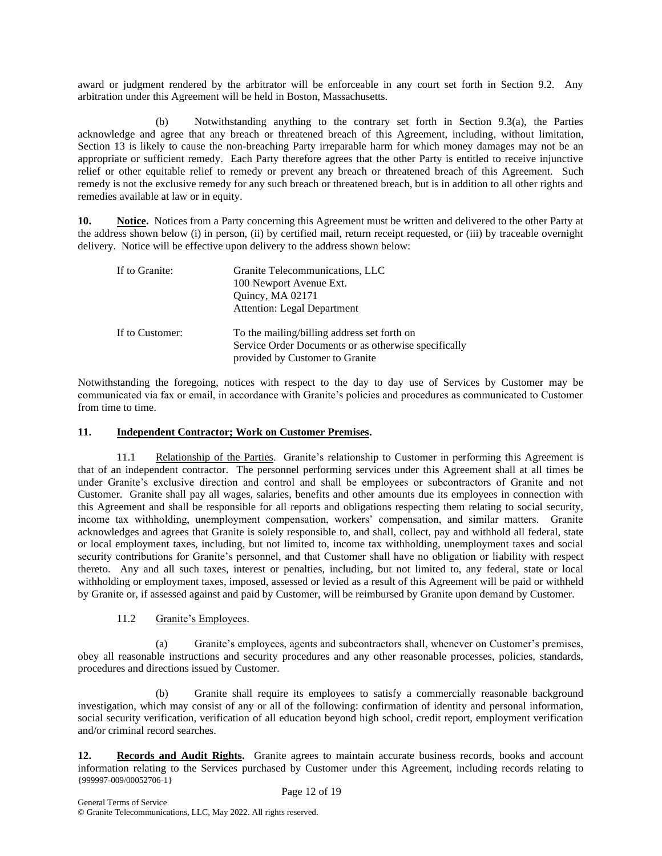award or judgment rendered by the arbitrator will be enforceable in any court set forth in Section 9.2. Any arbitration under this Agreement will be held in Boston, Massachusetts.

(b) Notwithstanding anything to the contrary set forth in Section 9.3(a), the Parties acknowledge and agree that any breach or threatened breach of this Agreement, including, without limitation, Section 13 is likely to cause the non-breaching Party irreparable harm for which money damages may not be an appropriate or sufficient remedy. Each Party therefore agrees that the other Party is entitled to receive injunctive relief or other equitable relief to remedy or prevent any breach or threatened breach of this Agreement. Such remedy is not the exclusive remedy for any such breach or threatened breach, but is in addition to all other rights and remedies available at law or in equity.

**10. Notice.** Notices from a Party concerning this Agreement must be written and delivered to the other Party at the address shown below (i) in person, (ii) by certified mail, return receipt requested, or (iii) by traceable overnight delivery. Notice will be effective upon delivery to the address shown below:

| If to Granite:  | Granite Telecommunications, LLC<br>100 Newport Avenue Ext.<br>Quincy, MA 02171<br>Attention: Legal Department                          |
|-----------------|----------------------------------------------------------------------------------------------------------------------------------------|
| If to Customer: | To the mailing/billing address set forth on<br>Service Order Documents or as otherwise specifically<br>provided by Customer to Granite |

Notwithstanding the foregoing, notices with respect to the day to day use of Services by Customer may be communicated via fax or email, in accordance with Granite's policies and procedures as communicated to Customer from time to time.

#### **11. Independent Contractor; Work on Customer Premises.**

11.1 Relationship of the Parties. Granite's relationship to Customer in performing this Agreement is that of an independent contractor. The personnel performing services under this Agreement shall at all times be under Granite's exclusive direction and control and shall be employees or subcontractors of Granite and not Customer. Granite shall pay all wages, salaries, benefits and other amounts due its employees in connection with this Agreement and shall be responsible for all reports and obligations respecting them relating to social security, income tax withholding, unemployment compensation, workers' compensation, and similar matters. Granite acknowledges and agrees that Granite is solely responsible to, and shall, collect, pay and withhold all federal, state or local employment taxes, including, but not limited to, income tax withholding, unemployment taxes and social security contributions for Granite's personnel, and that Customer shall have no obligation or liability with respect thereto. Any and all such taxes, interest or penalties, including, but not limited to, any federal, state or local withholding or employment taxes, imposed, assessed or levied as a result of this Agreement will be paid or withheld by Granite or, if assessed against and paid by Customer, will be reimbursed by Granite upon demand by Customer.

# 11.2 Granite's Employees.

(a) Granite's employees, agents and subcontractors shall, whenever on Customer's premises, obey all reasonable instructions and security procedures and any other reasonable processes, policies, standards, procedures and directions issued by Customer.

(b) Granite shall require its employees to satisfy a commercially reasonable background investigation, which may consist of any or all of the following: confirmation of identity and personal information, social security verification, verification of all education beyond high school, credit report, employment verification and/or criminal record searches.

{999997-009/00052706-1} Page 12 of 19 **12. Records and Audit Rights.** Granite agrees to maintain accurate business records, books and account information relating to the Services purchased by Customer under this Agreement, including records relating to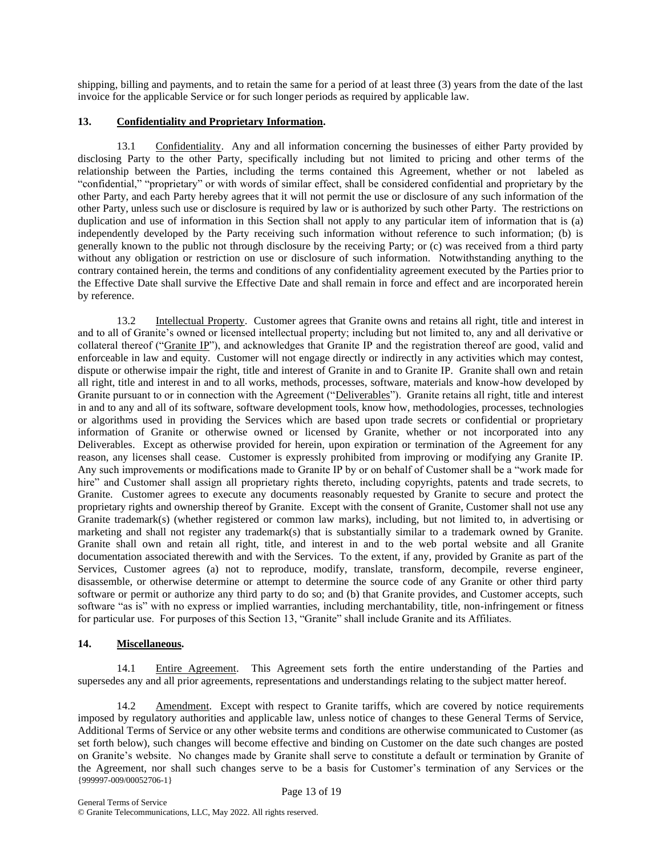shipping, billing and payments, and to retain the same for a period of at least three (3) years from the date of the last invoice for the applicable Service or for such longer periods as required by applicable law.

# **13. Confidentiality and Proprietary Information.**

13.1 Confidentiality. Any and all information concerning the businesses of either Party provided by disclosing Party to the other Party, specifically including but not limited to pricing and other terms of the relationship between the Parties, including the terms contained this Agreement, whether or not labeled as "confidential," "proprietary" or with words of similar effect, shall be considered confidential and proprietary by the other Party, and each Party hereby agrees that it will not permit the use or disclosure of any such information of the other Party, unless such use or disclosure is required by law or is authorized by such other Party. The restrictions on duplication and use of information in this Section shall not apply to any particular item of information that is (a) independently developed by the Party receiving such information without reference to such information; (b) is generally known to the public not through disclosure by the receiving Party; or (c) was received from a third party without any obligation or restriction on use or disclosure of such information. Notwithstanding anything to the contrary contained herein, the terms and conditions of any confidentiality agreement executed by the Parties prior to the Effective Date shall survive the Effective Date and shall remain in force and effect and are incorporated herein by reference.

13.2 Intellectual Property. Customer agrees that Granite owns and retains all right, title and interest in and to all of Granite's owned or licensed intellectual property; including but not limited to, any and all derivative or collateral thereof ("Granite IP"), and acknowledges that Granite IP and the registration thereof are good, valid and enforceable in law and equity. Customer will not engage directly or indirectly in any activities which may contest, dispute or otherwise impair the right, title and interest of Granite in and to Granite IP. Granite shall own and retain all right, title and interest in and to all works, methods, processes, software, materials and know-how developed by Granite pursuant to or in connection with the Agreement ("Deliverables"). Granite retains all right, title and interest in and to any and all of its software, software development tools, know how, methodologies, processes, technologies or algorithms used in providing the Services which are based upon trade secrets or confidential or proprietary information of Granite or otherwise owned or licensed by Granite, whether or not incorporated into any Deliverables. Except as otherwise provided for herein, upon expiration or termination of the Agreement for any reason, any licenses shall cease. Customer is expressly prohibited from improving or modifying any Granite IP. Any such improvements or modifications made to Granite IP by or on behalf of Customer shall be a "work made for hire" and Customer shall assign all proprietary rights thereto, including copyrights, patents and trade secrets, to Granite. Customer agrees to execute any documents reasonably requested by Granite to secure and protect the proprietary rights and ownership thereof by Granite. Except with the consent of Granite, Customer shall not use any Granite trademark(s) (whether registered or common law marks), including, but not limited to, in advertising or marketing and shall not register any trademark(s) that is substantially similar to a trademark owned by Granite. Granite shall own and retain all right, title, and interest in and to the web portal website and all Granite documentation associated therewith and with the Services. To the extent, if any, provided by Granite as part of the Services, Customer agrees (a) not to reproduce, modify, translate, transform, decompile, reverse engineer, disassemble, or otherwise determine or attempt to determine the source code of any Granite or other third party software or permit or authorize any third party to do so; and (b) that Granite provides, and Customer accepts, such software "as is" with no express or implied warranties, including merchantability, title, non-infringement or fitness for particular use. For purposes of this Section 13, "Granite" shall include Granite and its Affiliates.

# **14. Miscellaneous.**

14.1 Entire Agreement. This Agreement sets forth the entire understanding of the Parties and supersedes any and all prior agreements, representations and understandings relating to the subject matter hereof.

{999997-009/00052706-1} 14.2 Amendment. Except with respect to Granite tariffs, which are covered by notice requirements imposed by regulatory authorities and applicable law, unless notice of changes to these General Terms of Service, Additional Terms of Service or any other website terms and conditions are otherwise communicated to Customer (as set forth below), such changes will become effective and binding on Customer on the date such changes are posted on Granite's website. No changes made by Granite shall serve to constitute a default or termination by Granite of the Agreement, nor shall such changes serve to be a basis for Customer's termination of any Services or the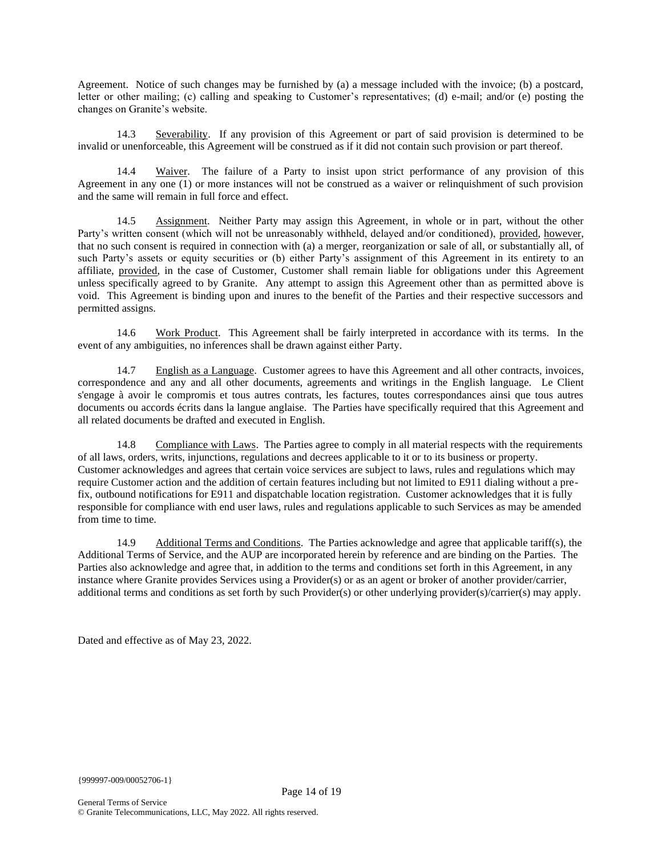Agreement. Notice of such changes may be furnished by (a) a message included with the invoice; (b) a postcard, letter or other mailing; (c) calling and speaking to Customer's representatives; (d) e-mail; and/or (e) posting the changes on Granite's website.

14.3 Severability. If any provision of this Agreement or part of said provision is determined to be invalid or unenforceable, this Agreement will be construed as if it did not contain such provision or part thereof.

14.4 Waiver. The failure of a Party to insist upon strict performance of any provision of this Agreement in any one (1) or more instances will not be construed as a waiver or relinquishment of such provision and the same will remain in full force and effect.

14.5 Assignment. Neither Party may assign this Agreement, in whole or in part, without the other Party's written consent (which will not be unreasonably withheld, delayed and/or conditioned), provided, however, that no such consent is required in connection with (a) a merger, reorganization or sale of all, or substantially all, of such Party's assets or equity securities or (b) either Party's assignment of this Agreement in its entirety to an affiliate, provided, in the case of Customer, Customer shall remain liable for obligations under this Agreement unless specifically agreed to by Granite. Any attempt to assign this Agreement other than as permitted above is void. This Agreement is binding upon and inures to the benefit of the Parties and their respective successors and permitted assigns.

14.6 Work Product. This Agreement shall be fairly interpreted in accordance with its terms. In the event of any ambiguities, no inferences shall be drawn against either Party.

14.7 English as a Language. Customer agrees to have this Agreement and all other contracts, invoices, correspondence and any and all other documents, agreements and writings in the English language. Le Client s'engage à avoir le compromis et tous autres contrats, les factures, toutes correspondances ainsi que tous autres documents ou accords écrits dans la langue anglaise. The Parties have specifically required that this Agreement and all related documents be drafted and executed in English.

14.8 Compliance with Laws. The Parties agree to comply in all material respects with the requirements of all laws, orders, writs, injunctions, regulations and decrees applicable to it or to its business or property. Customer acknowledges and agrees that certain voice services are subject to laws, rules and regulations which may require Customer action and the addition of certain features including but not limited to E911 dialing without a prefix, outbound notifications for E911 and dispatchable location registration. Customer acknowledges that it is fully responsible for compliance with end user laws, rules and regulations applicable to such Services as may be amended from time to time.

14.9 Additional Terms and Conditions. The Parties acknowledge and agree that applicable tariff(s), the Additional Terms of Service, and the AUP are incorporated herein by reference and are binding on the Parties. The Parties also acknowledge and agree that, in addition to the terms and conditions set forth in this Agreement, in any instance where Granite provides Services using a Provider(s) or as an agent or broker of another provider/carrier, additional terms and conditions as set forth by such Provider(s) or other underlying provider(s)/carrier(s) may apply.

Dated and effective as of May 23, 2022.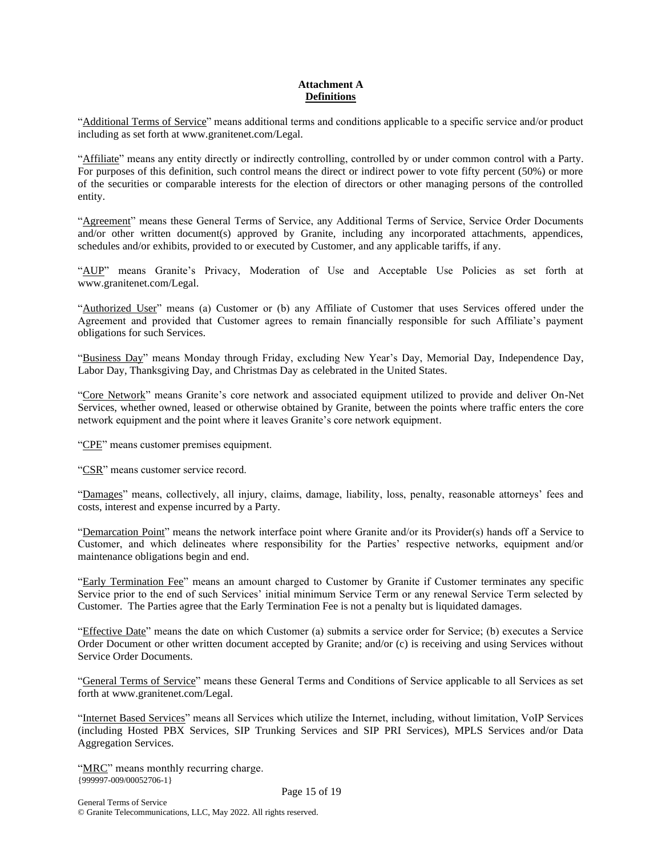# **Attachment A Definitions**

"Additional Terms of Service" means additional terms and conditions applicable to a specific service and/or product including as set forth at www.granitenet.com/Legal.

"Affiliate" means any entity directly or indirectly controlling, controlled by or under common control with a Party. For purposes of this definition, such control means the direct or indirect power to vote fifty percent (50%) or more of the securities or comparable interests for the election of directors or other managing persons of the controlled entity.

"Agreement" means these General Terms of Service, any Additional Terms of Service, Service Order Documents and/or other written document(s) approved by Granite, including any incorporated attachments, appendices, schedules and/or exhibits, provided to or executed by Customer, and any applicable tariffs, if any.

"AUP" means Granite's Privacy, Moderation of Use and Acceptable Use Policies as set forth at www.granitenet.com/Legal.

"Authorized User" means (a) Customer or (b) any Affiliate of Customer that uses Services offered under the Agreement and provided that Customer agrees to remain financially responsible for such Affiliate's payment obligations for such Services.

"Business Day" means Monday through Friday, excluding New Year's Day, Memorial Day, Independence Day, Labor Day, Thanksgiving Day, and Christmas Day as celebrated in the United States.

"Core Network" means Granite's core network and associated equipment utilized to provide and deliver On-Net Services, whether owned, leased or otherwise obtained by Granite, between the points where traffic enters the core network equipment and the point where it leaves Granite's core network equipment.

"CPE" means customer premises equipment.

"CSR" means customer service record.

"Damages" means, collectively, all injury, claims, damage, liability, loss, penalty, reasonable attorneys' fees and costs, interest and expense incurred by a Party.

"Demarcation Point" means the network interface point where Granite and/or its Provider(s) hands off a Service to Customer, and which delineates where responsibility for the Parties' respective networks, equipment and/or maintenance obligations begin and end.

"Early Termination Fee" means an amount charged to Customer by Granite if Customer terminates any specific Service prior to the end of such Services' initial minimum Service Term or any renewal Service Term selected by Customer. The Parties agree that the Early Termination Fee is not a penalty but is liquidated damages.

"Effective Date" means the date on which Customer (a) submits a service order for Service; (b) executes a Service Order Document or other written document accepted by Granite; and/or (c) is receiving and using Services without Service Order Documents.

"General Terms of Service" means these General Terms and Conditions of Service applicable to all Services as set forth at www.granitenet.com/Legal.

"Internet Based Services" means all Services which utilize the Internet, including, without limitation, VoIP Services (including Hosted PBX Services, SIP Trunking Services and SIP PRI Services), MPLS Services and/or Data Aggregation Services.

{999997-009/00052706-1} "MRC" means monthly recurring charge.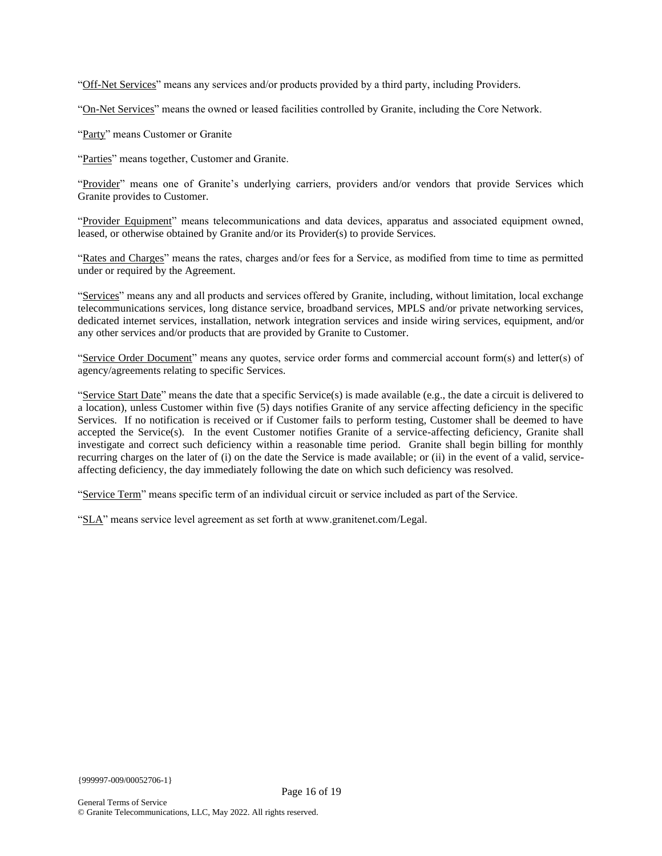"Off-Net Services" means any services and/or products provided by a third party, including Providers.

"On-Net Services" means the owned or leased facilities controlled by Granite, including the Core Network.

"Party" means Customer or Granite

"Parties" means together, Customer and Granite.

"Provider" means one of Granite's underlying carriers, providers and/or vendors that provide Services which Granite provides to Customer.

"Provider Equipment" means telecommunications and data devices, apparatus and associated equipment owned, leased, or otherwise obtained by Granite and/or its Provider(s) to provide Services.

"Rates and Charges" means the rates, charges and/or fees for a Service, as modified from time to time as permitted under or required by the Agreement.

"Services" means any and all products and services offered by Granite, including, without limitation, local exchange telecommunications services, long distance service, broadband services, MPLS and/or private networking services, dedicated internet services, installation, network integration services and inside wiring services, equipment, and/or any other services and/or products that are provided by Granite to Customer.

"Service Order Document" means any quotes, service order forms and commercial account form(s) and letter(s) of agency/agreements relating to specific Services.

"Service Start Date" means the date that a specific Service(s) is made available (e.g., the date a circuit is delivered to a location), unless Customer within five (5) days notifies Granite of any service affecting deficiency in the specific Services. If no notification is received or if Customer fails to perform testing, Customer shall be deemed to have accepted the Service(s). In the event Customer notifies Granite of a service-affecting deficiency, Granite shall investigate and correct such deficiency within a reasonable time period. Granite shall begin billing for monthly recurring charges on the later of (i) on the date the Service is made available; or (ii) in the event of a valid, serviceaffecting deficiency, the day immediately following the date on which such deficiency was resolved.

"Service Term" means specific term of an individual circuit or service included as part of the Service.

"SLA" means service level agreement as set forth at www.granitenet.com/Legal.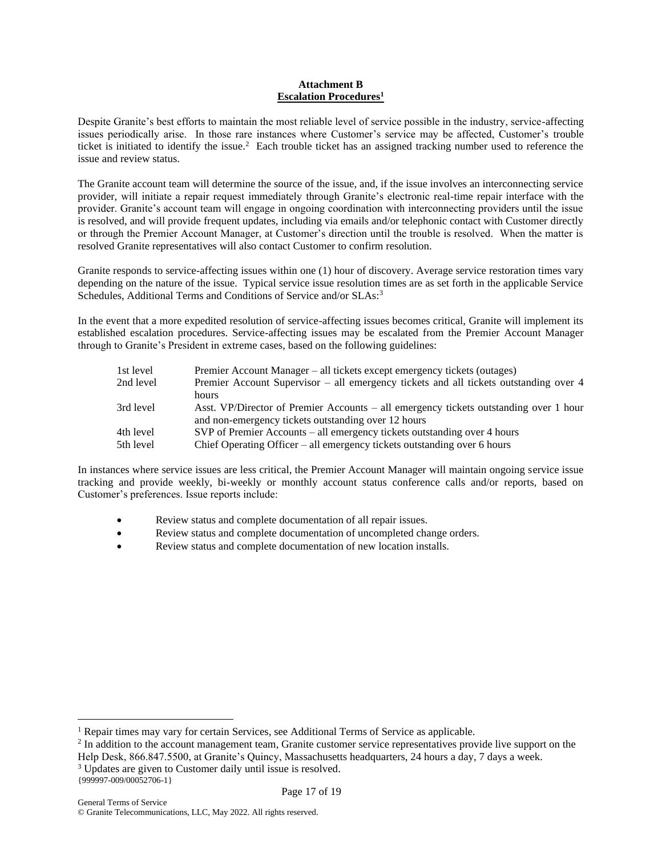# **Attachment B Escalation Procedures<sup>1</sup>**

Despite Granite's best efforts to maintain the most reliable level of service possible in the industry, service-affecting issues periodically arise. In those rare instances where Customer's service may be affected, Customer's trouble ticket is initiated to identify the issue.<sup>2</sup> Each trouble ticket has an assigned tracking number used to reference the issue and review status.

The Granite account team will determine the source of the issue, and, if the issue involves an interconnecting service provider, will initiate a repair request immediately through Granite's electronic real-time repair interface with the provider. Granite's account team will engage in ongoing coordination with interconnecting providers until the issue is resolved, and will provide frequent updates, including via emails and/or telephonic contact with Customer directly or through the Premier Account Manager, at Customer's direction until the trouble is resolved. When the matter is resolved Granite representatives will also contact Customer to confirm resolution.

Granite responds to service-affecting issues within one (1) hour of discovery. Average service restoration times vary depending on the nature of the issue. Typical service issue resolution times are as set forth in the applicable Service Schedules, Additional Terms and Conditions of Service and/or SLAs:<sup>3</sup>

In the event that a more expedited resolution of service-affecting issues becomes critical, Granite will implement its established escalation procedures. Service-affecting issues may be escalated from the Premier Account Manager through to Granite's President in extreme cases, based on the following guidelines:

| 1st level | Premier Account Manager – all tickets except emergency tickets (outages)              |
|-----------|---------------------------------------------------------------------------------------|
| 2nd level | Premier Account Supervisor – all emergency tickets and all tickets outstanding over 4 |
|           | hours                                                                                 |
| 3rd level | Asst. VP/Director of Premier Accounts – all emergency tickets outstanding over 1 hour |
|           | and non-emergency tickets outstanding over 12 hours                                   |
| 4th level | SVP of Premier Accounts – all emergency tickets outstanding over 4 hours              |
| 5th level | Chief Operating Officer – all emergency tickets outstanding over 6 hours              |

In instances where service issues are less critical, the Premier Account Manager will maintain ongoing service issue tracking and provide weekly, bi-weekly or monthly account status conference calls and/or reports, based on Customer's preferences. Issue reports include:

- Review status and complete documentation of all repair issues.
- Review status and complete documentation of uncompleted change orders.
- Review status and complete documentation of new location installs.

<sup>&</sup>lt;sup>1</sup> Repair times may vary for certain Services, see Additional Terms of Service as applicable.

 $2$  In addition to the account management team, Granite customer service representatives provide live support on the Help Desk, 866.847.5500, at Granite's Quincy, Massachusetts headquarters, 24 hours a day, 7 days a week.

<sup>&</sup>lt;sup>3</sup> Updates are given to Customer daily until issue is resolved.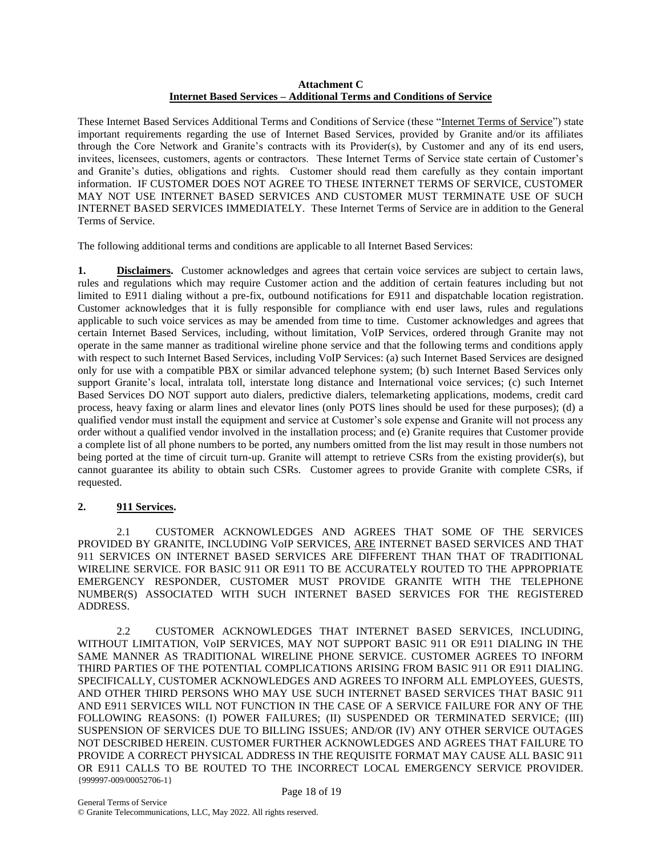# **Attachment C Internet Based Services – Additional Terms and Conditions of Service**

These Internet Based Services Additional Terms and Conditions of Service (these "Internet Terms of Service") state important requirements regarding the use of Internet Based Services, provided by Granite and/or its affiliates through the Core Network and Granite's contracts with its Provider(s), by Customer and any of its end users, invitees, licensees, customers, agents or contractors. These Internet Terms of Service state certain of Customer's and Granite's duties, obligations and rights. Customer should read them carefully as they contain important information. IF CUSTOMER DOES NOT AGREE TO THESE INTERNET TERMS OF SERVICE, CUSTOMER MAY NOT USE INTERNET BASED SERVICES AND CUSTOMER MUST TERMINATE USE OF SUCH INTERNET BASED SERVICES IMMEDIATELY. These Internet Terms of Service are in addition to the General Terms of Service.

The following additional terms and conditions are applicable to all Internet Based Services:

**1. Disclaimers.** Customer acknowledges and agrees that certain voice services are subject to certain laws, rules and regulations which may require Customer action and the addition of certain features including but not limited to E911 dialing without a pre-fix, outbound notifications for E911 and dispatchable location registration. Customer acknowledges that it is fully responsible for compliance with end user laws, rules and regulations applicable to such voice services as may be amended from time to time. Customer acknowledges and agrees that certain Internet Based Services, including, without limitation, VoIP Services, ordered through Granite may not operate in the same manner as traditional wireline phone service and that the following terms and conditions apply with respect to such Internet Based Services, including VoIP Services: (a) such Internet Based Services are designed only for use with a compatible PBX or similar advanced telephone system; (b) such Internet Based Services only support Granite's local, intralata toll, interstate long distance and International voice services; (c) such Internet Based Services DO NOT support auto dialers, predictive dialers, telemarketing applications, modems, credit card process, heavy faxing or alarm lines and elevator lines (only POTS lines should be used for these purposes); (d) a qualified vendor must install the equipment and service at Customer's sole expense and Granite will not process any order without a qualified vendor involved in the installation process; and (e) Granite requires that Customer provide a complete list of all phone numbers to be ported, any numbers omitted from the list may result in those numbers not being ported at the time of circuit turn-up. Granite will attempt to retrieve CSRs from the existing provider(s), but cannot guarantee its ability to obtain such CSRs. Customer agrees to provide Granite with complete CSRs, if requested.

# **2. 911 Services.**

2.1 CUSTOMER ACKNOWLEDGES AND AGREES THAT SOME OF THE SERVICES PROVIDED BY GRANITE, INCLUDING VoIP SERVICES, ARE INTERNET BASED SERVICES AND THAT 911 SERVICES ON INTERNET BASED SERVICES ARE DIFFERENT THAN THAT OF TRADITIONAL WIRELINE SERVICE. FOR BASIC 911 OR E911 TO BE ACCURATELY ROUTED TO THE APPROPRIATE EMERGENCY RESPONDER, CUSTOMER MUST PROVIDE GRANITE WITH THE TELEPHONE NUMBER(S) ASSOCIATED WITH SUCH INTERNET BASED SERVICES FOR THE REGISTERED ADDRESS.

{999997-009/00052706-1} 2.2 CUSTOMER ACKNOWLEDGES THAT INTERNET BASED SERVICES, INCLUDING, WITHOUT LIMITATION, VoIP SERVICES, MAY NOT SUPPORT BASIC 911 OR E911 DIALING IN THE SAME MANNER AS TRADITIONAL WIRELINE PHONE SERVICE. CUSTOMER AGREES TO INFORM THIRD PARTIES OF THE POTENTIAL COMPLICATIONS ARISING FROM BASIC 911 OR E911 DIALING. SPECIFICALLY, CUSTOMER ACKNOWLEDGES AND AGREES TO INFORM ALL EMPLOYEES, GUESTS, AND OTHER THIRD PERSONS WHO MAY USE SUCH INTERNET BASED SERVICES THAT BASIC 911 AND E911 SERVICES WILL NOT FUNCTION IN THE CASE OF A SERVICE FAILURE FOR ANY OF THE FOLLOWING REASONS: (I) POWER FAILURES; (II) SUSPENDED OR TERMINATED SERVICE; (III) SUSPENSION OF SERVICES DUE TO BILLING ISSUES; AND/OR (IV) ANY OTHER SERVICE OUTAGES NOT DESCRIBED HEREIN. CUSTOMER FURTHER ACKNOWLEDGES AND AGREES THAT FAILURE TO PROVIDE A CORRECT PHYSICAL ADDRESS IN THE REQUISITE FORMAT MAY CAUSE ALL BASIC 911 OR E911 CALLS TO BE ROUTED TO THE INCORRECT LOCAL EMERGENCY SERVICE PROVIDER.